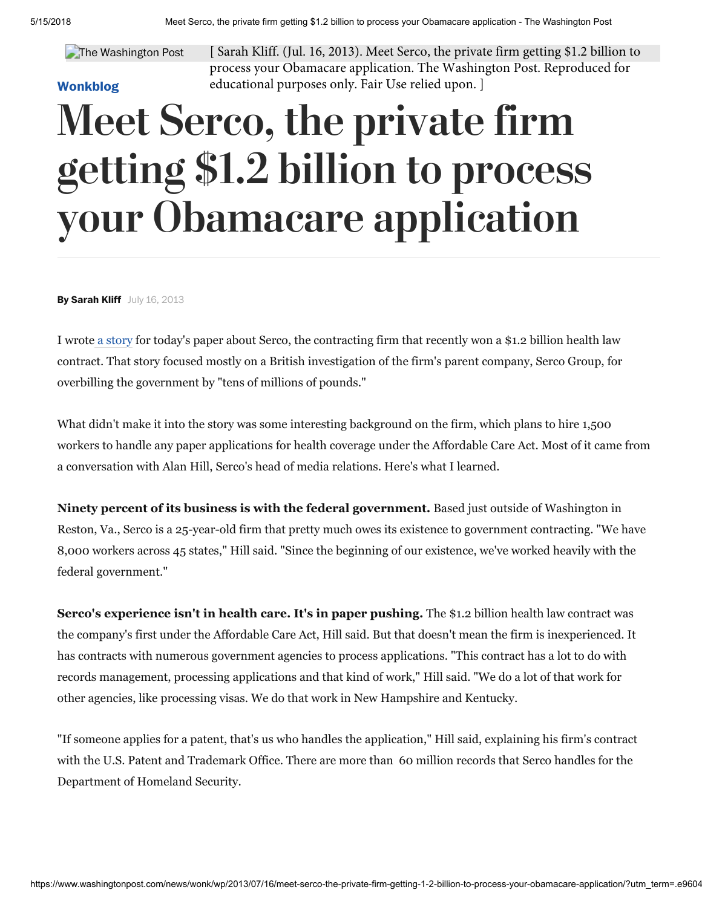#### The Washington Post

### [Wonkblog](http://www.washingtonpost.com/news/wonk/)

[ Sarah Kliff. (Jul. 16, 2013). Meet Serco, the private firm getting \$1.2 billion to process your Obamacare application. The Washington Post. Reproduced for educational purposes only. Fair Use relied upon. ]

# Meet Serco, the private firm getting \$1.2 billion to process your Obamacare application

By Sarah Kliff July 16, 2013

I wrote [a story](http://www.washingtonpost.com/blogs/wonkblog/wp/2013/07/15/obamacare-contractor-under-investigation-in-britain/) for today's paper about Serco, the contracting firm that recently won a \$1.2 billion health law contract. That story focused mostly on a British investigation of the firm's parent company, Serco Group, for overbilling the government by "tens of millions of pounds."

What didn't make it into the story was some interesting background on the firm, which plans to hire 1,500 workers to handle any paper applications for health coverage under the Affordable Care Act. Most of it came from a conversation with Alan Hill, Serco's head of media relations. Here's what I learned.

Ninety percent of its business is with the federal government. Based just outside of Washington in Reston, Va., Serco is a 25-year-old firm that pretty much owes its existence to government contracting. "We have 8,000 workers across 45 states," Hill said. "Since the beginning of our existence, we've worked heavily with the federal government."

Serco's experience isn't in health care. It's in paper pushing. The \$1.2 billion health law contract was the company's first under the Affordable Care Act, Hill said. But that doesn't mean the firm is inexperienced. It has contracts with numerous government agencies to process applications. "This contract has a lot to do with records management, processing applications and that kind of work," Hill said. "We do a lot of that work for other agencies, like processing visas. We do that work in New Hampshire and Kentucky.

"If someone applies for a patent, that's us who handles the application," Hill said, explaining his firm's contract with the U.S. Patent and Trademark Office. There are more than 60 million records that Serco handles for the Department of Homeland Security.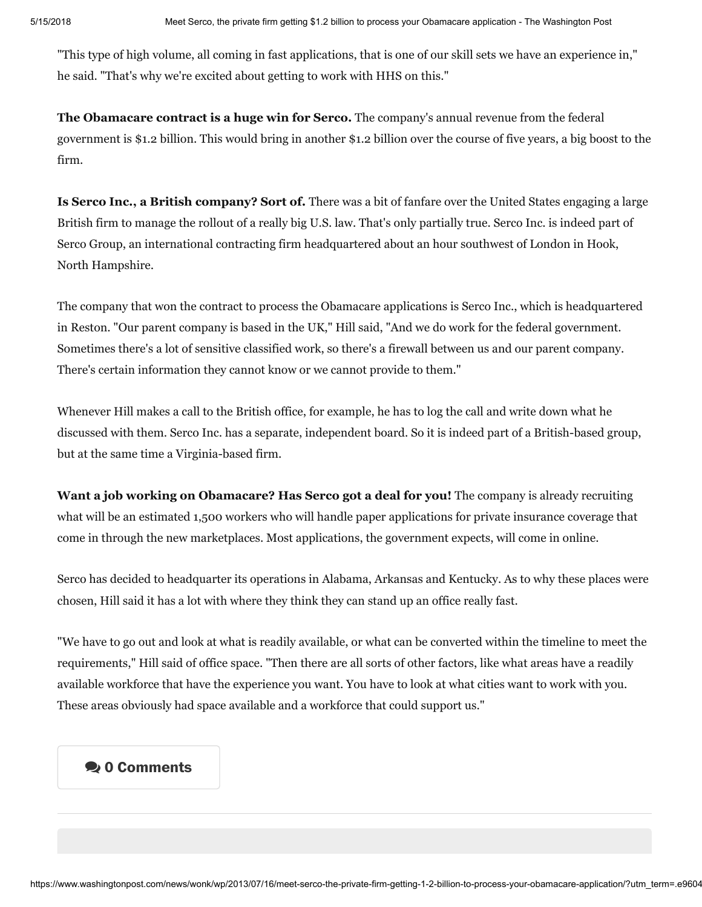"This type of high volume, all coming in fast applications, that is one of our skill sets we have an experience in," he said. "That's why we're excited about getting to work with HHS on this."

The Obamacare contract is a huge win for Serco. The company's annual revenue from the federal government is \$1.2 billion. This would bring in another \$1.2 billion over the course of five years, a big boost to the firm.

Is Serco Inc., a British company? Sort of. There was a bit of fanfare over the United States engaging a large British firm to manage the rollout of a really big U.S. law. That's only partially true. Serco Inc. is indeed part of Serco Group, an international contracting firm headquartered about an hour southwest of London in Hook, North Hampshire.

The company that won the contract to process the Obamacare applications is Serco Inc., which is headquartered in Reston. "Our parent company is based in the UK," Hill said, "And we do work for the federal government. Sometimes there's a lot of sensitive classified work, so there's a firewall between us and our parent company. There's certain information they cannot know or we cannot provide to them."

Whenever Hill makes a call to the British office, for example, he has to log the call and write down what he discussed with them. Serco Inc. has a separate, independent board. So it is indeed part of a British-based group, but at the same time a Virginia-based firm.

Want a job working on Obamacare? Has Serco got a deal for you! The company is already recruiting what will be an estimated 1,500 workers who will handle paper applications for private insurance coverage that come in through the new marketplaces. Most applications, the government expects, will come in online.

Serco has decided to headquarter its operations in Alabama, Arkansas and Kentucky. As to why these places were chosen, Hill said it has a lot with where they think they can stand up an office really fast.

"We have to go out and look at what is readily available, or what can be converted within the timeline to meet the requirements," Hill said of office space. "Then there are all sorts of other factors, like what areas have a readily available workforce that have the experience you want. You have to look at what cities want to work with you. These areas obviously had space available and a workforce that could support us."

### **20 Comments**